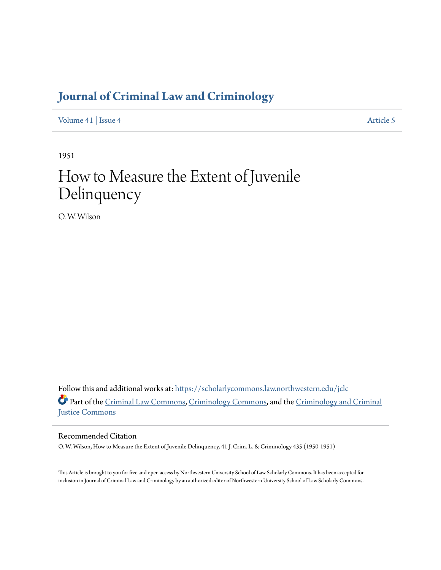## **[Journal of Criminal Law and Criminology](https://scholarlycommons.law.northwestern.edu/jclc?utm_source=scholarlycommons.law.northwestern.edu%2Fjclc%2Fvol41%2Fiss4%2F5&utm_medium=PDF&utm_campaign=PDFCoverPages)**

[Volume 41](https://scholarlycommons.law.northwestern.edu/jclc/vol41?utm_source=scholarlycommons.law.northwestern.edu%2Fjclc%2Fvol41%2Fiss4%2F5&utm_medium=PDF&utm_campaign=PDFCoverPages) | [Issue 4](https://scholarlycommons.law.northwestern.edu/jclc/vol41/iss4?utm_source=scholarlycommons.law.northwestern.edu%2Fjclc%2Fvol41%2Fiss4%2F5&utm_medium=PDF&utm_campaign=PDFCoverPages) [Article 5](https://scholarlycommons.law.northwestern.edu/jclc/vol41/iss4/5?utm_source=scholarlycommons.law.northwestern.edu%2Fjclc%2Fvol41%2Fiss4%2F5&utm_medium=PDF&utm_campaign=PDFCoverPages)

1951

## How to Measure the Extent of Juvenile Delinquency

O. W. Wilson

Follow this and additional works at: [https://scholarlycommons.law.northwestern.edu/jclc](https://scholarlycommons.law.northwestern.edu/jclc?utm_source=scholarlycommons.law.northwestern.edu%2Fjclc%2Fvol41%2Fiss4%2F5&utm_medium=PDF&utm_campaign=PDFCoverPages) Part of the [Criminal Law Commons](http://network.bepress.com/hgg/discipline/912?utm_source=scholarlycommons.law.northwestern.edu%2Fjclc%2Fvol41%2Fiss4%2F5&utm_medium=PDF&utm_campaign=PDFCoverPages), [Criminology Commons](http://network.bepress.com/hgg/discipline/417?utm_source=scholarlycommons.law.northwestern.edu%2Fjclc%2Fvol41%2Fiss4%2F5&utm_medium=PDF&utm_campaign=PDFCoverPages), and the [Criminology and Criminal](http://network.bepress.com/hgg/discipline/367?utm_source=scholarlycommons.law.northwestern.edu%2Fjclc%2Fvol41%2Fiss4%2F5&utm_medium=PDF&utm_campaign=PDFCoverPages) [Justice Commons](http://network.bepress.com/hgg/discipline/367?utm_source=scholarlycommons.law.northwestern.edu%2Fjclc%2Fvol41%2Fiss4%2F5&utm_medium=PDF&utm_campaign=PDFCoverPages)

Recommended Citation

O. W. Wilson, How to Measure the Extent of Juvenile Delinquency, 41 J. Crim. L. & Criminology 435 (1950-1951)

This Article is brought to you for free and open access by Northwestern University School of Law Scholarly Commons. It has been accepted for inclusion in Journal of Criminal Law and Criminology by an authorized editor of Northwestern University School of Law Scholarly Commons.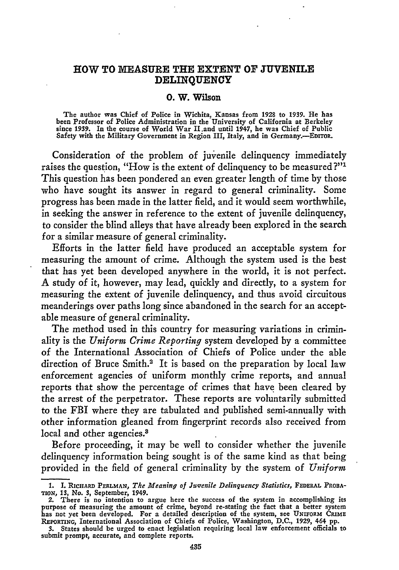## HOW TO **MEASURE** THE **EXTENT** OF **JUVENILE DELINQUENCY**

## **0.** W. Wilson

The author was Chief of Police in Wichita, Kansas from 1928 to 1939. He has<br>been Professor of Police Administration in the University of California at Berkeley<br>since 1939. In the course of World War II and until 1947, he w Safety with the Military Government in Region III, Italy, and in Germany.--EDITOR

Consideration of the problem of juvenile delinquency immediately raises the question, "How is the extent of delinquency to be measured?"1 This question has been pondered an even greater length of time **by** those who have sought its answer in regard to general criminality. Some progress has been made in the latter field, and it would seem worthwhile, in seeking the answer in reference to the extent of juvenile delinquency, to consider the blind alleys that have already been explored in the search for a similar measure of general criminality.

Efforts in the latter field have produced an acceptable system for measuring the amount of crime. Although the system used is the best that has yet been developed anywhere in the world, it is not perfect. **A** study of it, however, may lead, quickly and directly, to a system for measuring the extent of juvenile delinquency, and thus avoid circuitous meanderings over paths long since abandoned in the search for an acceptable measure of general criminality.

The method used in this country for measuring variations in criminality is the *Uniform Crime Reporting* system developed by a committee of the International Association of Chiefs of Police under the able direction of Bruce Smith.<sup>2</sup> It is based on the preparation by local law enforcement agencies of uniform monthly crime reports, and annual reports that show the percentage of crimes that have been cleared by the arrest of the perpetrator. These reports are voluntarily submitted to the FBI where they are tabulated and published semi-annually with other information gleaned from fingerprint records also received from local and other agencies.<sup>3</sup>

Before proceeding, it may be well to consider whether the juvenile delinquency information being sought is of the same kind as that being provided in the field of general criminality by the system of *Uniform*

**<sup>1.</sup> I.** RICHARD PERLMAN, *The Meaning of Juvenile Delinquency Statistics,* **FEDERAL** PROBA-**TION, 13,** No. 3, September, 1949.

<sup>2.</sup> There is no intention to argue here the success of the system in accomplishing its purpose of measuring the amount of crime, beyond re-stating the fact that a better system has not yet been developed. For a detailed description of the system, see **UNIFORM CRIME REPORTING,** International Association of Chiefs of Police, Washington, **D.C., 1929,** 464 **pp.**

**<sup>3.</sup>** States should be urged to enact legislation requiring local law enforcement officials to submit prompt, accurate, and complete reports.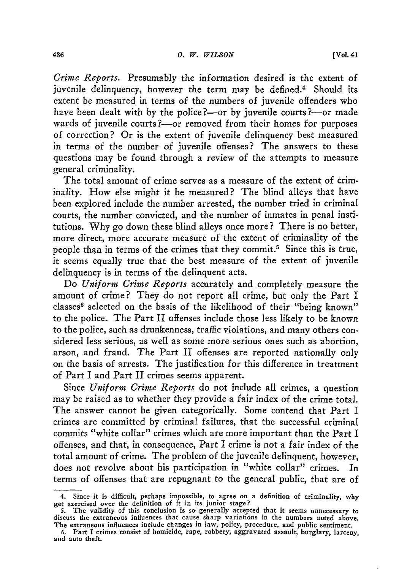*Crime Reports.* Presumably the information desired is the extent of juvenile delinquency, however the term may be defined.4 Should its extent be measured in terms of the numbers of juvenile offenders who have been dealt with by the police ?- or by juvenile courts ?- or made wards of juvenile courts?-- or removed from their homes for purposes of correction? Or is the extent of juvenile delinquency best measured in terms of the number of juvenile offenses? The answers to these questions may be found through a review of the attempts to measure general criminality.

The total amount of crime serves as a measure of the extent of criminality. How else might it be measured? The blind alleys that have been explored include the number arrested, the number tried in criminal courts, the number convicted, and the number of inmates in penal institutions. Why go down these blind alleys once more? There is no better, more direct, more accurate measure of the extent of criminality of the people than in terms of the crimes that they commit.5 Since this is true, it seems equally true that the best measure of the extent of juvenile delinquency is in terms of the delinquent acts.

Do *Uniform Crime Reports* accurately and completely measure the amount of crime? They do not report all crime, but only the Part I classes<sup>6</sup> selected on the basis of the likelihood of their "being known" to the police. The Part II offenses include those less likely to be known to the police, such as drunkenness, traffic violations, and many others considered less serious, as well as some more serious ones such as abortion, arson, and fraud. The Part II offenses are reported nationally only on the basis of arrests. The justification for this difference in treatment of Part I and Part II crimes seems apparent.

Since *Uniform Crime Reports* do not include all crimes, a question may be raised as to whether they provide a fair index of the crime total. The answer cannot be given categorically. Some contend that Part I crimes are committed by criminal failures, that the successful criminal commits "white collar" crimes which are more important than the Part I offenses, and that, in consequence, Part I crime is not a fair index of the total amount of crime. The problem of the juvenile delinquent, however, does not revolve about his participation in "white collar" crimes. In terms of offenses that are repugnant to the general public, that are of

**<sup>4.</sup>** Since it **is difficult,** perhaps impossible, **to agree on a definition of criminality, why get exercised over the definition of it in its junior stage?**

**<sup>5.</sup> The validity of this conclusion is so generally accepted** that **it seems unnecessary to discuss the** extraneous **influences that cause sharp variations in the numbers noted above. The extraneous influences include changes in law, policy, procedure, and public sentiment. 6. Part I crimes consist of homicide, rape, robbery, aggravated assault, burglary, larceny,**

**and auto theft.**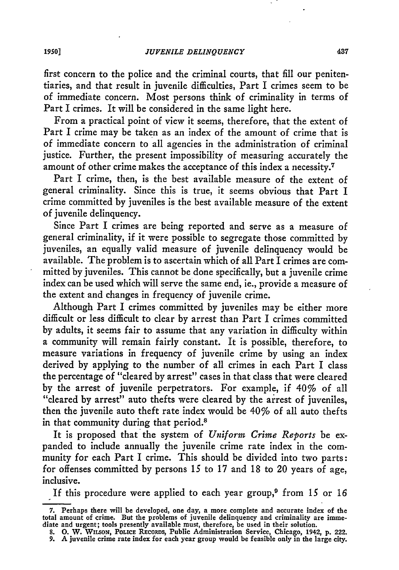first concern to the police and the criminal courts, that fill our penitentiaries, and that result in juvenile difficulties, Part I crimes seem to be of immediate concern. Most persons think of criminality in terms of Part I crimes. It will be considered in the same light here.

From a practical point of view it seems, therefore, that the extent of Part I crime may be taken as an index of the amount of crime that is of immediate concern to all agencies in the administration of criminal justice. Further, the present impossibility of measuring accurately the amount of other crime makes the acceptance of this index a necessity.<sup>7</sup>

Part I crime, then, is the best available measure of the extent of general criminality. Since this is true, it seems obvious that Part I crime committed by juveniles is the best available measure of the extent of juvenile delinquency.

Since Part I crimes are being reported and serve as a measure of general criminality, if it were possible to segregate those committed by juveniles, an equally valid measure of juvenile delinquency would be available. The problem is to ascertain which of all Part I crimes are committed by juveniles. This cannot be done specifically, but a juvenile crime index can be used which will serve the same end, ie., provide a measure of the extent and changes in frequency of juvenile crime.

Although Part I crimes committed by juveniles may be either more difficult or less difficult to clear by arrest than Part I crimes committed by adults, it seems fair to assume that any variation in difficulty within a community will remain fairly constant. It is possible, therefore, to measure variations in frequency of juvenile crime by using an index derived by applying to the number of all crimes in each Part I class the percentage of "cleared by arrest" cases in that class that were cleared by the arrest of juvenile perpetrators. For example, if 40% of all "cleared by arrest" auto thefts were cleared by the arrest of juveniles, then the juvenile auto theft rate index would be **40%** of all auto thefts in that community during that period.<sup>8</sup>

It is proposed that the system of *Uniform Crime Reports* be expanded to include annually the juvenile crime rate index in the community for each Part I crime. This should be divided into two parts: for offenses committed by persons 15 to 17 and 18 to 20 years of age, inclusive.

If this procedure were applied to each year group,9 from 15 or *16*

**<sup>7.</sup>** Perhaps there will be developed, one day, a more complete and accurate index of the total amount of crime. But the problems of juvenile delinquency and criminality are imme-diate and urgent; tools presently available must, therefore, be used in their solution.

**<sup>8. 0.</sup> W. WILSON, POLICE REcoRns,** Public Administration Service, Chicago, 1942, **p.** 222. **9. A juvenile crime rate index for each year group would be feasible only in the large city.**